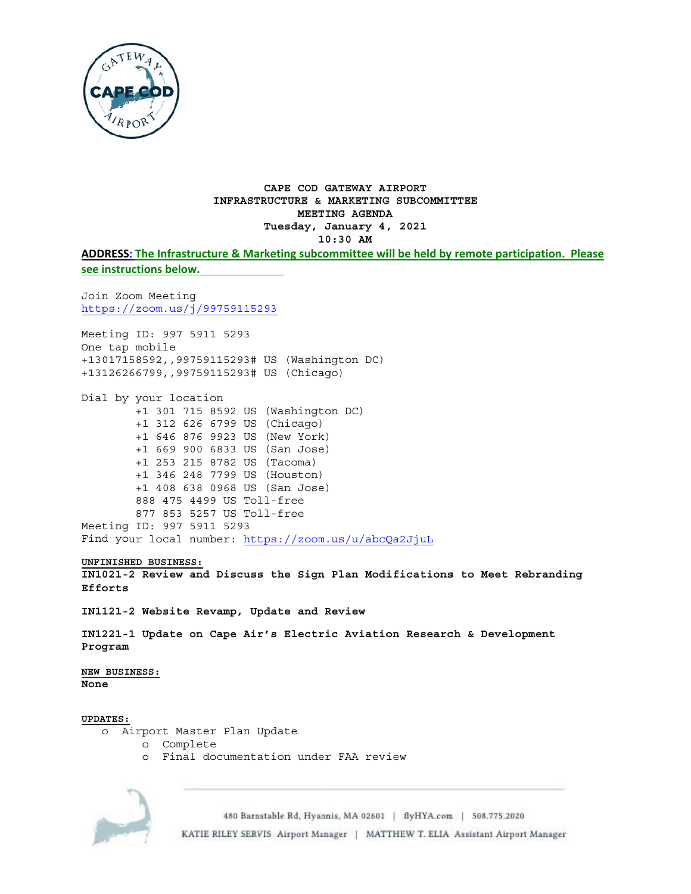

## CAPE COD GATEWAY AIRPORT INFRASTRUCTURE & MARKETING SUBCOMMITTEE MEETING AGENDA Tuesday, January 4, 2021  $10:30$  AM

ADDRESS: The Infrastructure & Marketing subcommittee will be held by remote participation. Please see instructions below.

Join Zoom Meeting https://zoom.us/j/99759115293

Meeting ID: 997 5911 5293 One tap mobile +13017158592,,99759115293# US (Washington DC) +13126266799,,99759115293# US (Chicago)

Dial by your location +1 301 715 8592 US (Washington DC) +1 312 626 6799 US (Chicago) +1 646 876 9923 US (New York) +1 669 900 6833 US (San Jose) +1 253 215 8782 US (Tacoma) +1 346 248 7799 US (Houston) +1 408 638 0968 US (San Jose) 888 475 4499 US Toll-free 877 853 5257 US Toll-free Meeting ID: 997 5911 5293 Find your local number: https://zoom.us/u/abcQa2JjuL

## UNFINISHED BUSINESS:

IN1021-2 Review and Discuss the Sign Plan Modifications to Meet Rebranding Efforts

IN1121-2 Website Revamp, Update and Review

IN1221-1 Update on Cape Air's Electric Aviation Research & Development Program

NEW BUSINESS: None

## **UPDATES:**

- o Airport Master Plan Update
	- o Complete
	- o Final documentation under FAA review



480 Barnstable Rd, Hyannis, MA 02601 | flyHYA.com | 508.775.2020 KATIE RILEY SERVIS Airport Manager | MATTHEW T. ELIA Assistant Airport Manager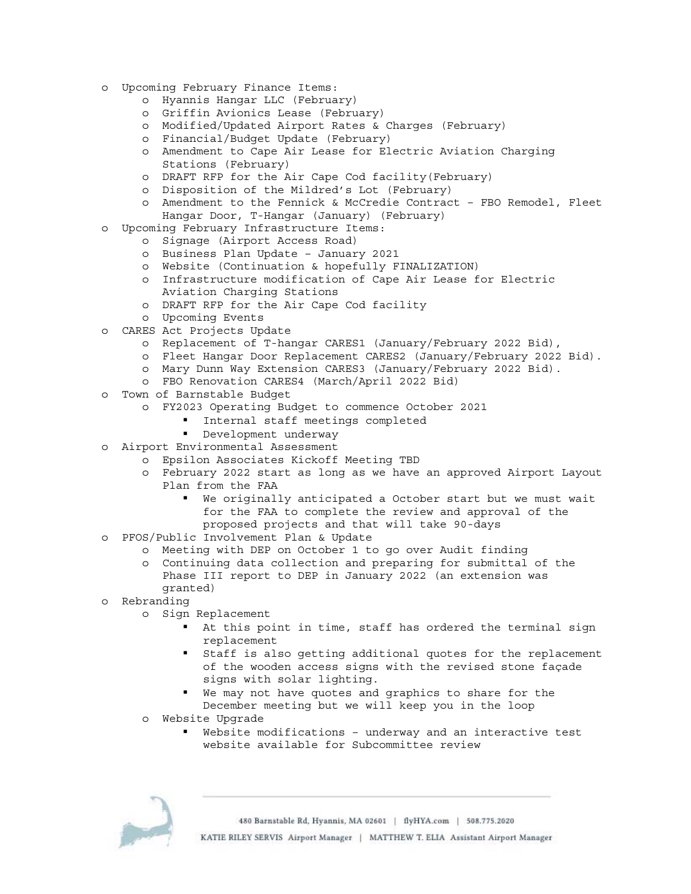- o Upcoming February Finance Items:
	- o Hyannis Hangar LLC (February)
	- o Griffin Avionics Lease (February)
	- o Modified/Updated Airport Rates & Charges (February)
	- o Financial/Budget Update (February)
	- o Amendment to Cape Air Lease for Electric Aviation Charging Stations (February)
	- o DRAFT RFP for the Air Cape Cod facility(February)
	- o Disposition of the Mildred's Lot (February)
	- o Amendment to the Fennick & McCredie Contract FBO Remodel, Fleet Hangar Door, T-Hangar (January) (February)
- o Upcoming February Infrastructure Items:
	- o Signage (Airport Access Road)
	- o Business Plan Update January 2021
	- o Website (Continuation & hopefully FINALIZATION)
	- o Infrastructure modification of Cape Air Lease for Electric Aviation Charging Stations
	- o DRAFT RFP for the Air Cape Cod facility
	- o Upcoming Events
- o CARES Act Projects Update
	- o Replacement of T-hangar CARES1 (January/February 2022 Bid),
	- o Fleet Hangar Door Replacement CARES2 (January/February 2022 Bid).
	- o Mary Dunn Way Extension CARES3 (January/February 2022 Bid).
		- o FBO Renovation CARES4 (March/April 2022 Bid)
- o Town of Barnstable Budget
	- o FY2023 Operating Budget to commence October 2021
		- Internal staff meetings completed
		- **•** Development underway
- o Airport Environmental Assessment
	- o Epsilon Associates Kickoff Meeting TBD
	- o February 2022 start as long as we have an approved Airport Layout Plan from the FAA
		- We originally anticipated a October start but we must wait for the FAA to complete the review and approval of the proposed projects and that will take 90-days
- o PFOS/Public Involvement Plan & Update
	- o Meeting with DEP on October 1 to go over Audit finding
		- o Continuing data collection and preparing for submittal of the Phase III report to DEP in January 2022 (an extension was granted)
- o Rebranding
	- o Sign Replacement
		- At this point in time, staff has ordered the terminal sign replacement
		- Staff is also getting additional quotes for the replacement of the wooden access signs with the revised stone façade signs with solar lighting.
		- We may not have quotes and graphics to share for the December meeting but we will keep you in the loop
	- o Website Upgrade
		- Website modifications underway and an interactive test website available for Subcommittee review